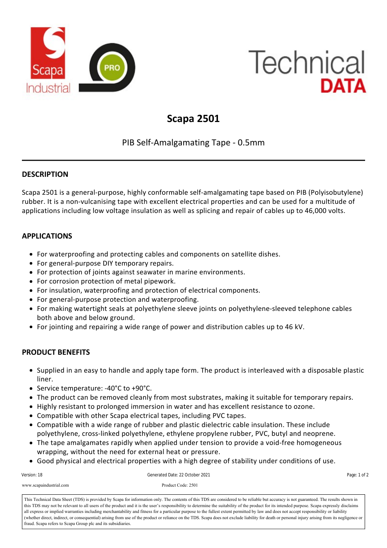

# **Technical** DATA

# **Scapa 2501**

# PIB Self‐Amalgamating Tape ‐ 0.5mm

# **DESCRIPTION**

Scapa 2501 is a general‐purpose, highly conformable self‐amalgamating tape based on PIB (Polyisobutylene) rubber. It is a non‐vulcanising tape with excellent electrical properties and can be used for a multitude of applications including low voltage insulation as well as splicing and repair of cables up to 46,000 volts.

# **APPLICATIONS**

- For waterproofing and protecting cables and components on satellite dishes.
- For general-purpose DIY temporary repairs.
- For protection of joints against seawater in marine environments.
- For corrosion protection of metal pipework.
- For insulation, waterproofing and protection of electrical components.
- For general-purpose protection and waterproofing.
- For making watertight seals at polyethylene sleeve joints on polyethylene-sleeved telephone cables both above and below ground.
- For jointing and repairing a wide range of power and distribution cables up to 46 kV.

# **PRODUCT BENEFITS**

- Supplied in an easy to handle and apply tape form. The product is interleaved with a disposable plastic liner.
- Service temperature: -40°C to +90°C.
- The product can be removed cleanly from most substrates, making it suitable for temporary repairs.
- Highly resistant to prolonged immersion in water and has excellent resistance to ozone.
- Compatible with other Scapa electrical tapes, including PVC tapes.
- Compatible with a wide range of rubber and plastic dielectric cable insulation. These include polyethylene, cross‐linked polyethylene, ethylene propylene rubber, PVC, butyl and neoprene.
- The tape amalgamates rapidly when applied under tension to provide a void-free homogeneous wrapping, without the need for external heat or pressure.
- Good physical and electrical properties with a high degree of stability under conditions of use.

| Version: 18             | Generated Date: 22 October 2021 | Page: 1 of 2                              |
|-------------------------|---------------------------------|-------------------------------------------|
| www.scapaindustrial.com | Product Code: 2501              |                                           |
|                         |                                 | $\sim$ $\sim$ $\sim$ $\sim$ $\sim$ $\sim$ |

this TDS may not be relevant to all users of the product and it is the user's responsibility to determine the suitability of the product for its intended purpose. Scapa expressly disclaims (whether direct, indirect, or consequential) arising from use of the product or reliance on the TDS. Scapa does not exclude liability for death or personal injury arising from its negligence or (whether direct, indirect, o fraud. Scapa refers to Scapa Group plc and its subsidiaries. This Technical Data Sheet (TDS) is provided by Scapa for information only. The contents of this TDS are considered to be reliable but accuracy is not guaranteed. The results shown in all express or implied warranties including merchantability and fitness for a particular purpose to the fullest extent permitted by law and does not accept responsibility or liability